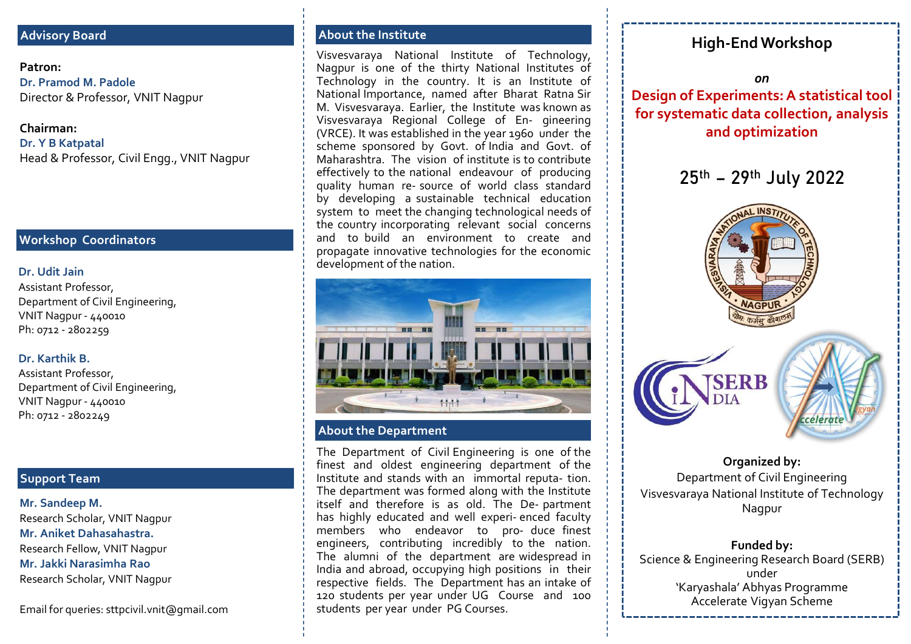## Advisory Board

Patron: Dr. Pramod M. Padole

Chairman: Dr. Y B Katpatal

### Workshop Coordinators

### Dr. Udit Jain

Assistant Professor, Department of Civil Engineering,

### Dr. Karthik B.

Assistant Professor, Department of Civil Engineering,

# Support Team

Mr. Sandeep M. Research Scholar, VNIT Nagpur Mr. Aniket Dahasahastra. Research Fellow, VNIT Nagpur Research Scholar, VNIT Nagpur

About the Institute<br>Visvesvaraya National Institute of Technology, High-End Workshop About the Institute<br>
Visvesvaraya National Institute of Technology,<br>
Nagpur is one of the thirty National Institutes of<br>
Technology in the country. It is an Institute of<br>
National Importance, named after Bharat Ratna Sir<br> Nagpur is one of the thirty National Institute of Technology,<br>
Nagpur is one of the thirty National Institutes of<br>
Technology in the country. It is an Institute of<br>
National Importance, named after Bharat Ratna Sir<br>
M. Vis Nisyesvaraya National Institute of Technology,<br>
Nagpur is one of the thirty National Institutes of<br>
Nagpur is one of the thirty National Institutes of<br>
Technology in the country. It is an Institute of<br>
National Importance, Nout the Institute<br>
Visvesvaraya National Institute of Technology,<br>
Nagpur is one of the thirty National Institutes of<br>
Technology in the country. It is an Institute of<br>
National Importance, named after Bharat Ratna Sir<br>
M About the Institute<br>
Visvesvaraya. National Institute of Technology,<br>
Nisyepur is one of the thirty National Institutes of<br>
Technology in the country. It is an Institute of<br>
Technology in the country. It is an Institute o About the Institute<br>
Visvesvaraya National Institute of Technology,<br>
Nagpur is one of the thirty National Institutes of<br>
Technology in the country. It is an Institute of<br>
National Importance, named after Bharac Ratha Sir<br> About the Institute<br>
Visvesvaraya National Institute of Technology,<br>
Nagpur is one of the thirty National Institutes of<br>
Technology in the country. It is an Institute of<br>
National Importance, named after Bharat Ratna Sir<br>  $\begin{tabular}{l|l|l|l|} \hline \multicolumn{3}{l}{\textbf{A} \textbf{B} \textbf{B} \textbf{C} \textbf{D} \textbf{C} \textbf{D} \textbf{C} \textbf{D} \textbf{D} \textbf{D} \textbf{D} \textbf{D} \textbf{D} \textbf{D} \textbf{D} \textbf{D} \textbf{D} \textbf{D} \textbf{D} \textbf{D} \textbf{D} \textbf{D} \textbf{D} \textbf{D} \textbf{D} \textbf{D} \textbf{D} \textbf{D} \textbf{D} \textbf{D} \textbf{D} \$ About the Institute<br>
Visvesvaraya National Institute of Technology,<br>
Magpur is one of the thirty National Institutes of<br>
Technology in the country. It is an Institute of<br>
Mational Importance, named after Bharat Ratna Sir<br> About the Institute<br>
Visvesvaraya National Institute of Technology,<br>
Nagpur is one of the thirty National Institute of<br>
Technology in the country. It is an Institute of<br>
National Importance, named after Bharat Ratna Sir<br> About the Institute<br>
Visyesvaraya National Institute of Technology,<br>
High-End Workshop<br>
Nagpur is one of the thirty National Institutes of<br>
National Importance, named after Bharat Ratna Sir<br>
Mational Importance, named aft About the Institute<br>
Visyesvaraya National Institute of Technology,<br>
Nagpur is one of the thirty National Institutes of<br>
Technology in the country. It is an Institute of<br>
Mational Importance, named after Bharat Ratna Sir<br> About the Institute<br>
Visyesvaraya National Institute of Technology<br>
Negpur is one of the thirty National Institutes of<br>
Nechnology in the country. It is an Institute of<br>
National mportance, named after Bharat Rathas Ein<br> About the Institute<br>
Visyesvaraya National Institute of Technology (<br>
Nagpur is one of the thirty National Institute of<br>
Technology in the country. It is an Institute of<br>
National Importance, named after Bhara Ratha Fair About the Institute<br>
Visyesvaraya National Institute of Technology<br>
Neglapur is one of the thirty National Institutes of<br>
Nechnology in the country. It is an Institute of<br>
National Importance, named after Bharat Retha Sir<br> About the Institute<br>
Visyesvaraya National Institute of Technology, High-End Workshop<br>
Nagour is one of the thirty National Institute sof<br>
Nagour is one of the thirty National Institute of<br>
M. Visyesvaraya. Earlier, the In About the Institute<br>
Visvesvaraya National Institute of Technology, High-End W<br>
Nagpur is one of the thirty National Institutes of<br>
Technology in the country. It is an Institute of<br>
Mational Importance, named after Bharat **Patron:**<br>
Dr. Pramod M. Padole<br>
Director & Professor, VNIT Nagpur is one of the tourism<br>
Chairman:<br>
Chairman:<br>
Chairman:<br>
Chairman:<br>
Chairman:<br>
Chairman:<br>
Chairman:<br>
CNIT Nagpur<br>
Chairman:<br>
CNIT Nagpur<br>
CNIT Nagpur<br>
CNIT Patron:<br>
Dr. Pramod M. Padole<br>
Director & Professor, VNIT Nagpur<br>
Director & Professor, VNIT Nagpur<br>
Director & Professor, Civil Nagpur<br>
Dr. Y B Katpatal<br>
Dr. Y B Katpatal<br>
Head & Professor, Civil Engg., VNIT Nagpur<br>
Macha Director & Professor, VNIT Nagpur<br>M. Visvesvaraya. Earlier, the Institute was known as Head & Professor, Civil Engg., VNIT Nagpur<br>
Head & Professor, Civil Engg., VNIT Nagpur<br>
Head & Professor, Civil Engg., VNIT Nagpur



### About the Department

**In the Department**<br> **In the Department**<br>
About the Department of Civil Engineering department of the<br>
The Department of Civil Engineering department of the<br>
Institute and oldest engineering department of the<br>
Institute an **Example 19 and Science of Courses**<br> **Example 19 and Science fields.** The Department of Civil Engineering department of the finest and oldest engineering department of the The department was formed along with the Institute 120 students per year under PG Course.<br>
The Mathematical Course and 100<br>
The Department of Civil Engineering is one of the<br>
finistitute and shads with an immortal reputa-tion.<br>
The department was formed along with the Inst Students per year under PG Courses.<br>
Students per year under PG Courses.<br>
The Department of Civil Engineering is one of the finest and oldest engineering department of the Institute and stands with an immortal reputation o Nepartment of Civil Engineering,<br>
Ph: 0712 - 2802259<br>
Dr. Karthik B.<br>
Assistant Professor,<br>
NNIT Nagpur - 440010<br>
Ph: 0712 - 2802249<br>
Ph: 0712 - 2802249<br>
Ph: 0712 - 2802249<br>
Mr. Sandeep M.<br>
Mr. Sandeep M.<br>
Mr. Sandeep M.<br> Email for queries: sttpcivil.vnit@gmail.com **Example 1** students per year under PG Courses.

on in the contract of the contract of the contract of the contract of the contract of the contract of the contr Design of Experiments: A statistical tool for systematic data collection, analysis and optimization



# Organized by: Department of Civil Engineering Visvesvaraya National Institute of Technology Nagpur

Funded by: Science & Engineering Research Board (SERB) under Accelerate Vigyan Scheme